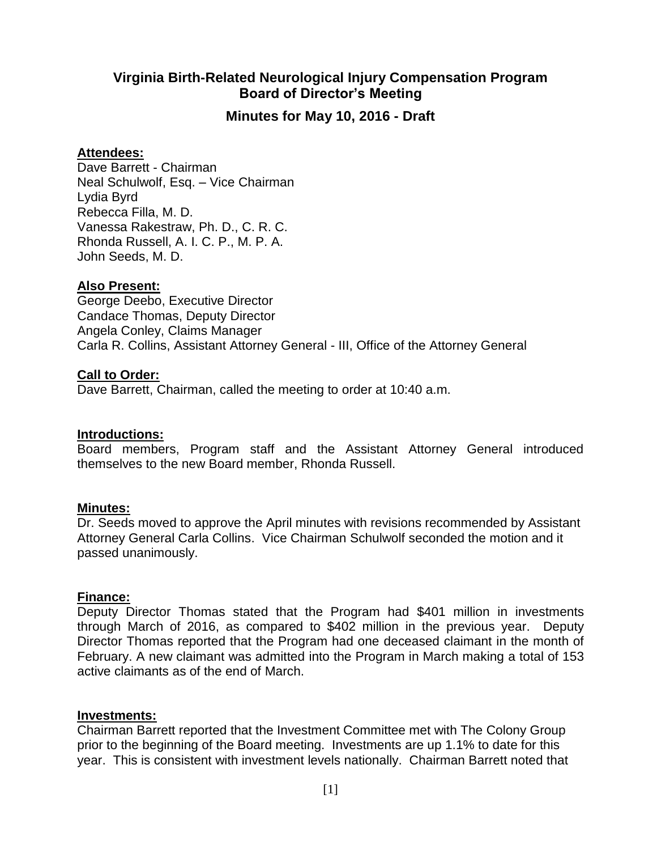# **Virginia Birth-Related Neurological Injury Compensation Program Board of Director's Meeting**

## **Minutes for May 10, 2016 - Draft**

### **Attendees:**

Dave Barrett - Chairman Neal Schulwolf, Esq. – Vice Chairman Lydia Byrd Rebecca Filla, M. D. Vanessa Rakestraw, Ph. D., C. R. C. Rhonda Russell, A. I. C. P., M. P. A. John Seeds, M. D.

### **Also Present:**

George Deebo, Executive Director Candace Thomas, Deputy Director Angela Conley, Claims Manager Carla R. Collins, Assistant Attorney General - III, Office of the Attorney General

### **Call to Order:**

Dave Barrett, Chairman, called the meeting to order at 10:40 a.m.

#### **Introductions:**

Board members, Program staff and the Assistant Attorney General introduced themselves to the new Board member, Rhonda Russell.

#### **Minutes:**

Dr. Seeds moved to approve the April minutes with revisions recommended by Assistant Attorney General Carla Collins. Vice Chairman Schulwolf seconded the motion and it passed unanimously.

#### **Finance:**

Deputy Director Thomas stated that the Program had \$401 million in investments through March of 2016, as compared to \$402 million in the previous year. Deputy Director Thomas reported that the Program had one deceased claimant in the month of February. A new claimant was admitted into the Program in March making a total of 153 active claimants as of the end of March.

#### **Investments:**

Chairman Barrett reported that the Investment Committee met with The Colony Group prior to the beginning of the Board meeting. Investments are up 1.1% to date for this year. This is consistent with investment levels nationally. Chairman Barrett noted that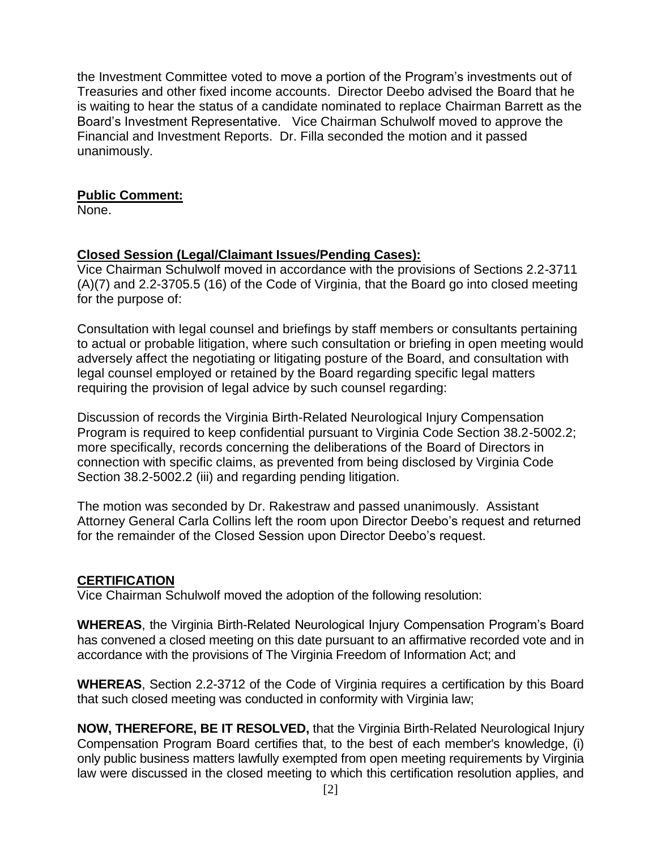the Investment Committee voted to move a portion of the Program's investments out of Treasuries and other fixed income accounts. Director Deebo advised the Board that he is waiting to hear the status of a candidate nominated to replace Chairman Barrett as the Board's Investment Representative. Vice Chairman Schulwolf moved to approve the Financial and Investment Reports. Dr. Filla seconded the motion and it passed unanimously.

## **Public Comment:**

None.

# **Closed Session (Legal/Claimant Issues/Pending Cases):**

Vice Chairman Schulwolf moved in accordance with the provisions of Sections 2.2-3711 (A)(7) and 2.2-3705.5 (16) of the Code of Virginia, that the Board go into closed meeting for the purpose of:

Consultation with legal counsel and briefings by staff members or consultants pertaining to actual or probable litigation, where such consultation or briefing in open meeting would adversely affect the negotiating or litigating posture of the Board, and consultation with legal counsel employed or retained by the Board regarding specific legal matters requiring the provision of legal advice by such counsel regarding:

Discussion of records the Virginia Birth-Related Neurological Injury Compensation Program is required to keep confidential pursuant to Virginia Code Section 38.2-5002.2; more specifically, records concerning the deliberations of the Board of Directors in connection with specific claims, as prevented from being disclosed by Virginia Code Section 38.2-5002.2 (iii) and regarding pending litigation.

The motion was seconded by Dr. Rakestraw and passed unanimously. Assistant Attorney General Carla Collins left the room upon Director Deebo's request and returned for the remainder of the Closed Session upon Director Deebo's request.

# **CERTIFICATION**

Vice Chairman Schulwolf moved the adoption of the following resolution:

**WHEREAS**, the Virginia Birth-Related Neurological Injury Compensation Program's Board has convened a closed meeting on this date pursuant to an affirmative recorded vote and in accordance with the provisions of The Virginia Freedom of Information Act; and

**WHEREAS**, Section 2.2-3712 of the Code of Virginia requires a certification by this Board that such closed meeting was conducted in conformity with Virginia law;

**NOW, THEREFORE, BE IT RESOLVED,** that the Virginia Birth-Related Neurological Injury Compensation Program Board certifies that, to the best of each member's knowledge, (i) only public business matters lawfully exempted from open meeting requirements by Virginia law were discussed in the closed meeting to which this certification resolution applies, and